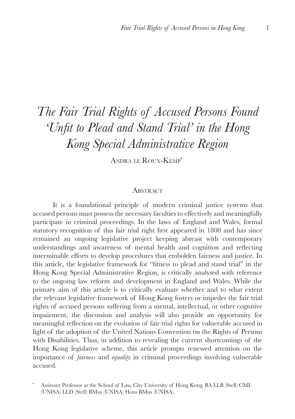# *The Fair Trial Rights of Accused Persons Found 'Unfit to Plead and Stand Trial' in the Hong Kong Special Administrative Region*

Andra le Roux-Kemp\*1

## **ABSTRACT**

It is a foundational principle of modern criminal justice systems that accused persons must possess the necessary faculties to effectively and meaningfully participate in criminal proceedings. In the laws of England and Wales, formal statutory recognition of this fair trial right first appeared in 1800 and has since remained an ongoing legislative project keeping abreast with contemporary understandings and awareness of mental health and cognition and reflecting interminable efforts to develop procedures that embolden fairness and justice. In this article, the legislative framework for "fitness to plead and stand trial" in the Hong Kong Special Administrative Region, is critically analysed with reference to the ongoing law reform and development in England and Wales. While the primary aim of this article is to critically evaluate whether and to what extent the relevant legislative framework of Hong Kong fosters or impedes the fair trial rights of accused persons suffering from a mental, intellectual, or other cognitive impairment, the discussion and analysis will also provide an opportunity for meaningful reflection on the evolution of fair trial rights for vulnerable accused in light of the adoption of the United Nations Convention on the Rights of Persons with Disabilities. Thus, in addition to revealing the current shortcomings of the Hong Kong legislative scheme, this article prompts renewed attention on the importance of *fairness* and *equality* in criminal proceedings involving vulnerable accused.

<sup>\*</sup> Assistant Professor at the School of Law, City University of Hong Kong. BA LLB (Stell) CML (UNISA) LLD (Stell) BMus (UNISA) Hons BMus (UNISA).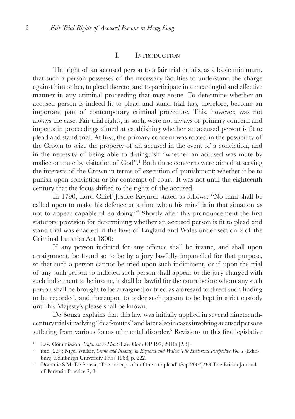### I. Introduction

The right of an accused person to a fair trial entails, as a basic minimum, that such a person possesses of the necessary faculties to understand the charge against him or her, to plead thereto, and to participate in a meaningful and effective manner in any criminal proceeding that may ensue. To determine whether an accused person is indeed fit to plead and stand trial has, therefore, become an important part of contemporary criminal procedure. This, however, was not always the case. Fair trial rights, as such, were not always of primary concern and impetus in proceedings aimed at establishing whether an accused person is fit to plead and stand trial. At first, the primary concern was rooted in the possibility of the Crown to seize the property of an accused in the event of a conviction, and in the necessity of being able to distinguish "whether an accused was mute by malice or mute by visitation of God".<sup>1</sup> Both these concerns were aimed at serving the interests of the Crown in terms of execution of punishment; whether it be to punish upon conviction or for contempt of court. It was not until the eighteenth century that the focus shifted to the rights of the accused.

In 1790, Lord Chief Justice Keynon stated as follows: "No man shall be called upon to make his defence at a time when his mind is in that situation as not to appear capable of so doing."<sup>2</sup> Shortly after this pronouncement the first statutory provision for determining whether an accused person is fit to plead and stand trial was enacted in the laws of England and Wales under section 2 of the Criminal Lunatics Act 1800:

If any person indicted for any offence shall be insane, and shall upon arraignment, be found so to be by a jury lawfully impanelled for that purpose, so that such a person cannot be tried upon such indictment, or if upon the trial of any such person so indicted such person shall appear to the jury charged with such indictment to be insane, it shall be lawful for the court before whom any such person shall be brought to be arraigned or tried as aforesaid to direct such finding to be recorded, and thereupon to order such person to be kept in strict custody until his Majesty's please shall be known.

De Souza explains that this law was initially applied in several nineteenthcentury trials involving "deaf-mutes" and later also in cases involving accused persons suffering from various forms of mental disorder.<sup>3</sup> Revisions to this first legislative

<sup>1</sup> Law Commission, *Unfitness to Plead* (Law Com CP 197, 2010) [2.3].

<sup>&</sup>lt;sup>2</sup> ibid [2.5]; Nigel Walker, *Crime and Insanity in England and Wales: The Historical Perspective Vol. 1* (Edinburg: Edinburgh University Press 1968) p. 222.<br><sup>3</sup> Dominic S.M. De Souza, 'The concept of unfitness to plead' (Sep 2007) 9:3 The British Journal

of Forensic Practice 7, 8.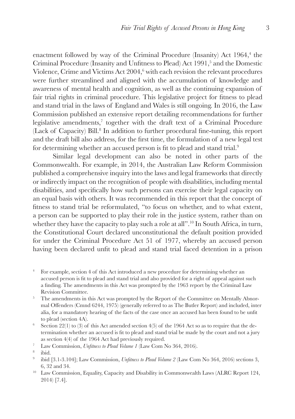enactment followed by way of the Criminal Procedure (Insanity) Act 1964,<sup>4</sup> the Criminal Procedure (Insanity and Unfitness to Plead) Act 1991,<sup>5</sup> and the Domestic Violence, Crime and Victims Act 2004,<sup>6</sup> with each revision the relevant procedures were further streamlined and aligned with the accumulation of knowledge and awareness of mental health and cognition, as well as the continuing expansion of fair trial rights in criminal procedure. This legislative project for fitness to plead and stand trial in the laws of England and Wales is still ongoing. In 2016, the Law Commission published an extensive report detailing recommendations for further legislative amendments,<sup>7</sup> together with the draft text of a Criminal Procedure (Lack of Capacity) Bill.<sup>8</sup> In addition to further procedural fine-tuning, this report and the draft bill also address, for the first time, the formulation of a new legal test for determining whether an accused person is fit to plead and stand trial.<sup>9</sup>

Similar legal development can also be noted in other parts of the Commonwealth. For example, in 2014, the Australian Law Reform Commission published a comprehensive inquiry into the laws and legal frameworks that directly or indirectly impact on the recognition of people with disabilities, including mental disabilities, and specifically how such persons can exercise their legal capacity on an equal basis with others. It was recommended in this report that the concept of fitness to stand trial be reformulated, "to focus on whether, and to what extent, a person can be supported to play their role in the justice system, rather than on whether they have the capacity to play such a role at all".<sup>10</sup> In South Africa, in turn, the Constitutional Court declared unconstitutional the default position provided for under the Criminal Procedure Act 51 of 1977, whereby an accused person having been declared unfit to plead and stand trial faced detention in a prison

- <sup>4</sup> For example, section 4 of this Act introduced a new procedure for determining whether an accused person is fit to plead and stand trial and also provided for a right of appeal against such a finding. The amendments in this Act was prompted by the 1963 report by the Criminal Law Revision Committee.<br><sup>5</sup> The amendments in this Act was prompted by the Report of the Committee on Mentally Abnor-
- mal Offenders (Cmnd 6244, 1975) (generally referred to as The Butler Report) and included, inter alia, for a mandatory hearing of the facts of the case once an accused has been found to be unfit to plead (section 4A).
- $6$  Section 22(1) to (3) of this Act amended section 4(5) of the 1964 Act so as to require that the determination whether an accused is fit to plead and stand trial be made by the court and not a jury % as section 4(4) of the 1964 Act had previously required.<br>  $\frac{7}{1}$  Law Commission, *Unfitness to Plead Volume 1* (Law Com No 364, 2016).<br>
<sup>8</sup> ibid.<br>
<sup>9</sup> ibid [3.1-3.104]; Law Commission, *Unfitness to Plead Volume 2* (
- 
- 
- 6, 32 and 34.
- <sup>10</sup> Law Commission, Equality, Capacity and Disability in Commonwealth Laws (ALRC Report 124, 2014) [7.4].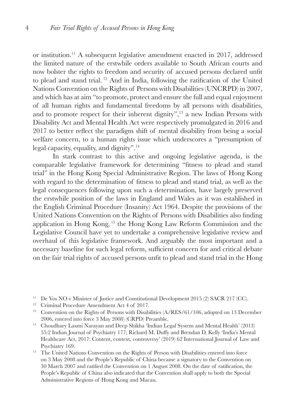or institution.11 A subsequent legislative amendment enacted in 2017, addressed the limited nature of the erstwhile orders available to South African courts and now bolster the rights to freedom and security of accused persons declared unfit to plead and stand trial. <sup>12</sup> And in India, following the ratification of the United Nations Convention on the Rights of Persons with Disabilities (UNCRPD) in 2007, and which has at aim "to promote, protect and ensure the full and equal enjoyment of all human rights and fundamental freedoms by all persons with disabilities, and to promote respect for their inherent dignity", $^{13}$  a new Indian Persons with Disability Act and Mental Health Act were respectively promulgated in 2016 and 2017 to better reflect the paradigm shift of mental disability from being a social welfare concern, to a human rights issue which underscores a "presumption of legal capacity, equality, and dignity".<sup>14</sup>

In stark contrast to this active and ongoing legislative agenda, is the comparable legislative framework for determining "fitness to plead and stand trial" in the Hong Kong Special Administrative Region. The laws of Hong Kong with regard to the determination of fitness to plead and stand trial, as well as the legal consequences following upon such a determination, have largely preserved the erstwhile position of the laws in England and Wales as it was established in the English Criminal Procedure (Insanity) Act 1964. Despite the provisions of the United Nations Convention on the Rights of Persons with Disabilities also finding application in Hong Kong, 15 the Hong Kong Law Reform Commission and the Legislative Council have yet to undertake a comprehensive legislative review and overhaul of this legislative framework. And arguably the most important and a necessary baseline for such legal reform, sufficient concern for and critical debate on the fair trial rights of accused persons unfit to plead and stand trial in the Hong

<sup>12</sup> Criminal Procedure Amendment Act 4 of 2017.

- <sup>14</sup> Choudhary Laxmi Narayan and Deep Shikha 'Indian Legal System and Mental Health' (2013) 55:2 Indian Journal of Psychiatry 177; Richard M. Duffy and Brendan D. Kelly 'India's Mental Healthcare Act, 2017: Content, context, controversy' (2019) 62 International Journal of Law and Psychiatry 169.
- <sup>15</sup> The United Nations Convention on the Rights of Person with Disabilities entered into force on 3 May 2008 and the People's Republic of China became a signatory to the Convention on 30 March 2007 and ratified the Convention on 1 August 2008. On the date of ratification, the People's Republic of China also indicated that the Convention shall apply to both the Special Administrative Regions of Hong Kong and Macau.

<sup>&</sup>lt;sup>11</sup> De Vos NO v Minister of Justice and Constitutional Development 2015 (2) SACR 217 (CC).

<sup>&</sup>lt;sup>13</sup> Convention on the Rights of Persons with Disabilities (A/RES/61/106, adopted on 13 December 2006, entered into force 3 May 2008) (CRPD) Preamble.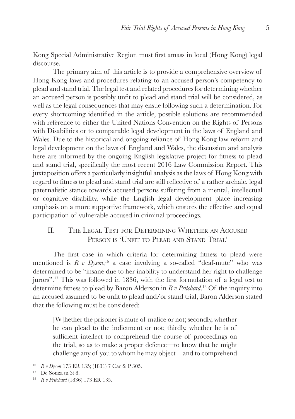Kong Special Administrative Region must first amass in local (Hong Kong) legal discourse.

The primary aim of this article is to provide a comprehensive overview of Hong Kong laws and procedures relating to an accused person's competency to plead and stand trial. The legal test and related procedures for determining whether an accused person is possibly unfit to plead and stand trial will be considered, as well as the legal consequences that may ensue following such a determination. For every shortcoming identified in the article, possible solutions are recommended with reference to either the United Nations Convention on the Rights of Persons with Disabilities or to comparable legal development in the laws of England and Wales. Due to the historical and ongoing reliance of Hong Kong law reform and legal development on the laws of England and Wales, the discussion and analysis here are informed by the ongoing English legislative project for fitness to plead and stand trial, specifically the most recent 2016 Law Commission Report. This juxtaposition offers a particularly insightful analysis as the laws of Hong Kong with regard to fitness to plead and stand trial are still reflective of a rather archaic, legal paternalistic stance towards accused persons suffering from a mental, intellectual or cognitive disability, while the English legal development place increasing emphasis on a more supportive framework, which ensures the effective and equal participation of vulnerable accused in criminal proceedings.

# II. The Legal Test for Determining Whether an Accused PERSON IS 'UNFIT TO PLEAD AND STAND TRIAL'

The first case in which criteria for determining fitness to plead were mentioned is *R v Dyson*, <sup>16</sup> a case involving a so-called "deaf-mute" who was determined to be "insane due to her inability to understand her right to challenge jurors".<sup>17</sup> This was followed in 1836, with the first formulation of a legal test to determine fitness to plead by Baron Alderson in *R v Pritchard*. 18 Of the inquiry into an accused assumed to be unfit to plead and/or stand trial, Baron Alderson stated that the following must be considered:

[W]hether the prisoner is mute of malice or not; secondly, whether he can plead to the indictment or not; thirdly, whether he is of sufficient intellect to comprehend the course of proceedings on the trial, so as to make a proper defence—to know that he might challenge any of you to whom he may object—and to comprehend

<sup>16</sup> *R v Dyson* 173 ER 135; (1831) 7 Car & P 305.

<sup>17</sup> De Souza (n 3) 8.

<sup>18</sup> *R v Pritchard* (1836) 173 ER 135.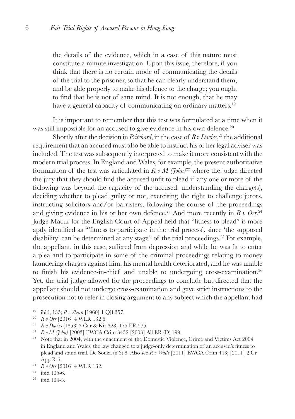the details of the evidence, which in a case of this nature must constitute a minute investigation. Upon this issue, therefore, if you think that there is no certain mode of communicating the details of the trial to the prisoner, so that he can clearly understand them, and be able properly to make his defence to the charge; you ought to find that he is not of sane mind. It is not enough, that he may have a general capacity of communicating on ordinary matters.<sup>19</sup>

It is important to remember that this test was formulated at a time when it was still impossible for an accused to give evidence in his own defence.<sup>20</sup>

Shortly after the decision in *Pritchard*, in the case of *R v Davies*, 21 the additional requirement that an accused must also be able to instruct his or her legal adviser was included. The test was subsequently interpreted to make it more consistent with the modern trial process. In England and Wales, for example, the present authoritative formulation of the test was articulated in  $R v M$  (*John*)<sup>22</sup> where the judge directed the jury that they should find the accused unfit to plead if any one or more of the following was beyond the capacity of the accused: understanding the charge(s), deciding whether to plead guilty or not, exercising the right to challenge jurors, instructing solicitors and/or barristers, following the course of the proceedings and giving evidence in his or her own defence.<sup>23</sup> And more recently in *R v Orr*,<sup>24</sup> Judge Macur for the English Court of Appeal held that "fitness to plead" is more aptly identified as "'fitness to participate in the trial process', since 'the supposed disability' can be determined at any stage" of the trial proceedings.<sup>25</sup> For example, the appellant, in this case, suffered from depression and while he was fit to enter a plea and to participate in some of the criminal proceedings relating to money laundering charges against him, his mental health deteriorated, and he was unable to finish his evidence-in-chief and unable to undergoing cross-examination.<sup>26</sup> Yet, the trial judge allowed for the proceedings to conclude but directed that the appellant should not undergo cross-examination and gave strict instructions to the prosecution not to refer in closing argument to any subject which the appellant had

- <sup>19</sup> ibid, 135; *R v Sharp* [1960] 1 QB 357.
- <sup>20</sup> *R v Orr* [2016] 4 WLR 132 6.
- <sup>21</sup> *R v Davies* (1853) 3 Car & Kir 328, 175 ER 575.
- <sup>22</sup> *R v M (John)* [2003] EWCA Crim 3452 [2003] All ER (D) 199.
- <sup>23</sup> Note that in 2004, with the enactment of the Domestic Violence, Crime and Victims Act 2004 in England and Wales, the law changed to a judge-only determination of an accused's fitness to plead and stand trial. De Souza (n 3) 8. Also see *R v Walls* [2011] EWCA Crim 443; [2011] 2 Cr App R 6.<br><sup>24</sup> *R v Orr* [2016] 4 WLR 132.
- 
- $25$  ibid 135-6.
- <sup>26</sup> ibid 134-5.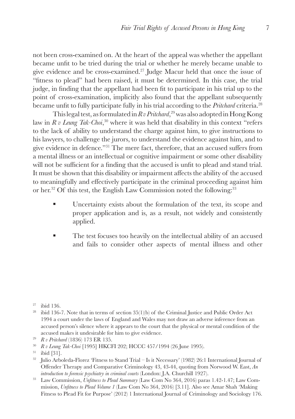not been cross-examined on. At the heart of the appeal was whether the appellant became unfit to be tried during the trial or whether he merely became unable to give evidence and be cross-examined.27 Judge Macur held that once the issue of "fitness to plead" had been raised, it must be determined. In this case, the trial judge, in finding that the appellant had been fit to participate in his trial up to the point of cross-examination, implicitly also found that the appellant subsequently became unfit to fully participate fully in his trial according to the *Pritchard* criteria.28

This legal test, as formulated in *R v Pritchard*, 29 was also adopted in Hong Kong law in *R v Leung Tak-Choi*, 30 where it was held that disability in this context "refers to the lack of ability to understand the charge against him, to give instructions to his lawyers, to challenge the jurors, to understand the evidence against him, and to give evidence in defence."<sup>31</sup> The mere fact, therefore, that an accused suffers from a mental illness or an intellectual or cognitive impairment or some other disability will not be sufficient for a finding that the accused is unfit to plead and stand trial. It must be shown that this disability or impairment affects the ability of the accused to meaningfully and effectively participate in the criminal proceeding against him or her.<sup>32</sup> Of this test, the English Law Commission noted the following:<sup>33</sup>

- Uncertainty exists about the formulation of the text, its scope and proper application and is, as a result, not widely and consistently applied.
- The test focuses too heavily on the intellectual ability of an accused and fails to consider other aspects of mental illness and other

<sup>27</sup> ibid 136.

 $28$  ibid 136-7. Note that in terms of section  $35(1)(b)$  of the Criminal Justice and Public Order Act 1994 a court under the laws of England and Wales may not draw an adverse inference from an accused person's silence where it appears to the court that the physical or mental condition of the accused makes it undesirable for him to give evidence. 29 *R v Pritchard* (1836) 173 ER 135.

<sup>30</sup> *R v Leung Tak-Choi* [1995] HKCFI 202; HCCC 457/1994 (26 June 1995).

ibid [31].

<sup>32</sup> Julio Arboleda-Florez 'Fitness to Stand Trial – Is it Necessary' (1982) 26:1 International Journal of Offender Therapy and Comparative Criminology 43, 43-44, quoting from Norwood W. East, *An introduction to forensic psychiatry in criminal courts* (London: J.A. Churchill 1927).

<sup>33</sup> Law Commission, *Unfitness to Plead Summary* (Law Com No 364, 2016) paras 1.42-1.47; Law Commission, *Unfitness to Plead Volume 1* (Law Com No 364, 2016) [3.11]. Also see Amar Shah 'Making Fitness to Plead Fit for Purpose' (2012) 1 International Journal of Criminology and Sociology 176.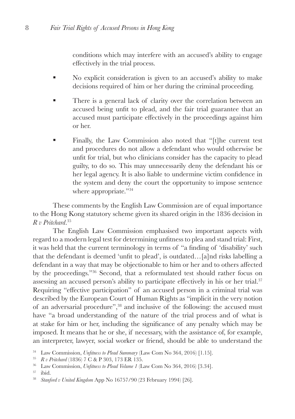conditions which may interfere with an accused's ability to engage effectively in the trial process.

- No explicit consideration is given to an accused's ability to make decisions required of him or her during the criminal proceeding.
- There is a general lack of clarity over the correlation between an accused being unfit to plead, and the fair trial guarantee that an accused must participate effectively in the proceedings against him or her.
- Finally, the Law Commission also noted that "[t]he current test and procedures do not allow a defendant who would otherwise be unfit for trial, but who clinicians consider has the capacity to plead guilty, to do so. This may unnecessarily deny the defendant his or her legal agency. It is also liable to undermine victim confidence in the system and deny the court the opportunity to impose sentence where appropriate."<sup>34</sup>

These comments by the English Law Commission are of equal importance to the Hong Kong statutory scheme given its shared origin in the 1836 decision in *R v Pritchard*. 35

The English Law Commission emphasised two important aspects with regard to a modern legal test for determining unfitness to plea and stand trial: First, it was held that the current terminology in terms of "a finding of 'disability' such that the defendant is deemed 'unfit to plead', is outdated…[a]nd risks labelling a defendant in a way that may be objectionable to him or her and to others affected by the proceedings."36 Second, that a reformulated test should rather focus on assessing an accused person's ability to participate effectively in his or her trial.<sup>37</sup> Requiring "effective participation" of an accused person in a criminal trial was described by the European Court of Human Rights as "implicit in the very notion of an adversarial procedure",38 and inclusive of the following: the accused must have "a broad understanding of the nature of the trial process and of what is at stake for him or her, including the significance of any penalty which may be imposed. It means that he or she, if necessary, with the assistance of, for example, an interpreter, lawyer, social worker or friend, should be able to understand the

<sup>34</sup> Law Commission, *Unfitness to Plead Summary* (Law Com No 364, 2016) [1.15].

<sup>35</sup> *R v Pritchard* (1836) 7 C & P 303, 173 ER 135.

<sup>36</sup> Law Commission, *Unfitness to Plead Volume 1* (Law Com No 364, 2016) [3.34].

<sup>37</sup> ibid. 38 *Stanford v United Kingdom* App No 16757/90 (23 February 1994) [26].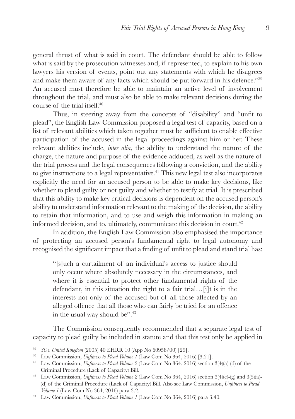general thrust of what is said in court. The defendant should be able to follow what is said by the prosecution witnesses and, if represented, to explain to his own lawyers his version of events, point out any statements with which he disagrees and make them aware of any facts which should be put forward in his defence."<sup>39</sup> An accused must therefore be able to maintain an active level of involvement throughout the trial, and must also be able to make relevant decisions during the course of the trial itself.40

Thus, in steering away from the concepts of "disability" and "unfit to plead", the English Law Commission proposed a legal test of capacity, based on a list of relevant abilities which taken together must be sufficient to enable effective participation of the accused in the legal proceedings against him or her. These relevant abilities include, *inter alia*, the ability to understand the nature of the charge, the nature and purpose of the evidence adduced, as well as the nature of the trial process and the legal consequences following a conviction, and the ability to give instructions to a legal representative.<sup>41</sup> This new legal test also incorporates explicitly the need for an accused person to be able to make key decisions, like whether to plead guilty or not guilty and whether to testify at trial. It is prescribed that this ability to make key critical decisions is dependent on the accused person's ability to understand information relevant to the making of the decision, the ability to retain that information, and to use and weigh this information in making an informed decision, and to, ultimately, communicate this decision in court.<sup>42</sup>

In addition, the English Law Commission also emphasised the importance of protecting an accused person's fundamental right to legal autonomy and recognised the significant impact that a finding of unfit to plead and stand trial has:

"[s]uch a curtailment of an individual's access to justice should only occur where absolutely necessary in the circumstances, and where it is essential to protect other fundamental rights of the defendant, in this situation the right to a fair trial…[i]t is in the interests not only of the accused but of all those affected by an alleged offence that all those who can fairly be tried for an offence in the usual way should be".<sup>43</sup>

The Commission consequently recommended that a separate legal test of capacity to plead guilty be included in statute and that this test only be applied in

<sup>39</sup> *SC v United Kingdom* (2005) 40 EHRR 10 (App No 60958/00) [29].

<sup>40</sup> Law Commission, *Unfitness to Plead Volume 1* (Law Com No 364, 2016) [3.21].

<sup>41</sup> Law Commission, *Unfitness to Plead Volume 2* (Law Com No 364, 2016) section 3(4)(a)-(d) of the Criminal Procedure (Lack of Capacity) Bill.

<sup>42</sup> Law Commission, *Unfitness to Plead Volume 2* (Law Com No 364, 2016) section 3(4)(e)-(g) and 3(5)(a)- (d) of the Criminal Procedure (Lack of Capacity) Bill. Also see Law Commission, *Unfitness to Plead Volume 1* (Law Com No 364, 2016) para 3.2.

<sup>43</sup> Law Commission, *Unfitness to Plead Volume 1* (Law Com No 364, 2016) para 3.40.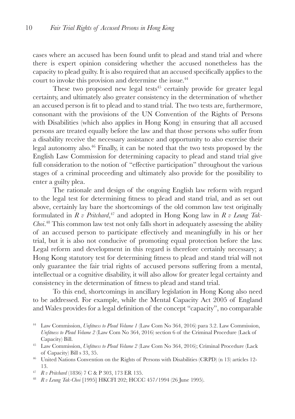cases where an accused has been found unfit to plead and stand trial and where there is expert opinion considering whether the accused nonetheless has the capacity to plead guilty. It is also required that an accused specifically applies to the court to invoke this provision and determine the issue.<sup>44</sup>

These two proposed new legal tests $45$  certainly provide for greater legal certainty, and ultimately also greater consistency in the determination of whether an accused person is fit to plead and to stand trial. The two tests are, furthermore, consonant with the provisions of the UN Convention of the Rights of Persons with Disabilities (which also applies in Hong Kong) in ensuring that all accused persons are treated equally before the law and that those persons who suffer from a disability receive the necessary assistance and opportunity to also exercise their legal autonomy also.46 Finally, it can be noted that the two tests proposed by the English Law Commission for determining capacity to plead and stand trial give full consideration to the notion of "effective participation" throughout the various stages of a criminal proceeding and ultimately also provide for the possibility to enter a guilty plea.

The rationale and design of the ongoing English law reform with regard to the legal test for determining fitness to plead and stand trial, and as set out above, certainly lay bare the shortcomings of the old common law test originally formulated in *R v Pritchard*, 47 and adopted in Hong Kong law in *R v Leung Tak-Choi*. 48 This common law test not only falls short in adequately assessing the ability of an accused person to participate effectively and meaningfully in his or her trial, but it is also not conducive of promoting equal protection before the law. Legal reform and development in this regard is therefore certainly necessary; a Hong Kong statutory test for determining fitness to plead and stand trial will not only guarantee the fair trial rights of accused persons suffering from a mental, intellectual or a cognitive disability, it will also allow for greater legal certainty and consistency in the determination of fitness to plead and stand trial.

To this end, shortcomings in ancillary legislation in Hong Kong also need to be addressed. For example, while the Mental Capacity Act 2005 of England and Wales provides for a legal definition of the concept "capacity", no comparable

<sup>44</sup> Law Commission, *Unfitness to Plead Volume 1* (Law Com No 364, 2016) para 3.2. Law Commission, *Unfitness to Plead Volume 2* (Law Com No 364, 2016) section 6 of the Criminal Procedure (Lack of Capacity) Bill.

<sup>45</sup> Law Commission, *Unfitness to Plead Volume 2* (Law Com No 364, 2016); Criminal Procedure (Lack of Capacity) Bill s 33, 35.

<sup>46</sup> United Nations Convention on the Rights of Persons with Disabilities (CRPD) (n 13) articles 12- 13.

<sup>47</sup> *R v Pritchard* (1836) 7 C & P 303, 173 ER 135.

<sup>48</sup> *R v Leung Tak-Choi* [1995] HKCFI 202; HCCC 457/1994 (26 June 1995).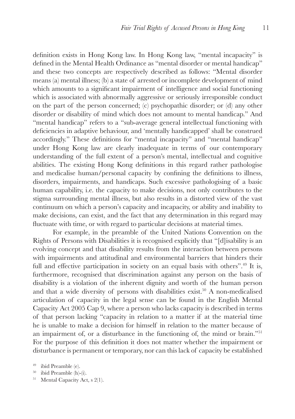definition exists in Hong Kong law. In Hong Kong law, "mental incapacity" is defined in the Mental Health Ordinance as "mental disorder or mental handicap" and these two concepts are respectively described as follows: "Mental disorder means (a) mental illness; (b) a state of arrested or incomplete development of mind which amounts to a significant impairment of intelligence and social functioning which is associated with abnormally aggressive or seriously irresponsible conduct on the part of the person concerned; (c) psychopathic disorder; or (d) any other disorder or disability of mind which does not amount to mental handicap." And "mental handicap" refers to a "sub-average general intellectual functioning with deficiencies in adaptive behaviour, and 'mentally handicapped' shall be construed accordingly." These definitions for "mental incapacity" and "mental handicap" under Hong Kong law are clearly inadequate in terms of our contemporary understanding of the full extent of a person's mental, intellectual and cognitive abilities. The existing Hong Kong definitions in this regard rather pathologise and medicalise human/personal capacity by confining the definitions to illness, disorders, impairments, and handicaps. Such excessive pathologising of a basic human capability, i.e. the capacity to make decisions, not only contributes to the stigma surrounding mental illness, but also results in a distorted view of the vast continuum on which a person's capacity and incapacity, or ability and inability to make decisions, can exist, and the fact that any determination in this regard may fluctuate with time, or with regard to particular decisions at material times.

For example, in the preamble of the United Nations Convention on the Rights of Persons with Disabilities it is recognised explicitly that "[d]isability is an evolving concept and that disability results from the interaction between persons with impairments and attitudinal and environmental barriers that hinders their full and effective participation in society on an equal basis with others".<sup>49</sup> It is, furthermore, recognised that discrimination against any person on the basis of disability is a violation of the inherent dignity and worth of the human person and that a wide diversity of persons with disabilities exist.<sup>50</sup> A non-medicalised articulation of capacity in the legal sense can be found in the English Mental Capacity Act 2005 Cap 9, where a person who lacks capacity is described in terms of that person lacking "capacity in relation to a matter if at the material time he is unable to make a decision for himself in relation to the matter because of an impairment of, or a disturbance in the functioning of, the mind or brain."<sup>51</sup> For the purpose of this definition it does not matter whether the impairment or disturbance is permanent or temporary, nor can this lack of capacity be established

<sup>50</sup> ibid Preamble (h)-(i).<br><sup>51</sup> Mental Capacity Act, s 2(1).

<sup>49</sup> ibid Preamble (e).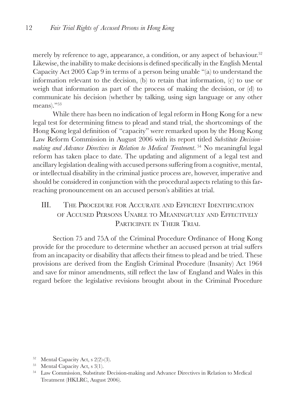merely by reference to age, appearance, a condition, or any aspect of behaviour.<sup>52</sup> Likewise, the inability to make decisions is defined specifically in the English Mental Capacity Act 2005 Cap 9 in terms of a person being unable "(a) to understand the information relevant to the decision, (b) to retain that information, (c) to use or weigh that information as part of the process of making the decision, or (d) to communicate his decision (whether by talking, using sign language or any other means)."<sup>53</sup>

While there has been no indication of legal reform in Hong Kong for a new legal test for determining fitness to plead and stand trial, the shortcomings of the Hong Kong legal definition of "capacity" were remarked upon by the Hong Kong Law Reform Commission in August 2006 with its report titled *Substitute Decisionmaking and Advance Directives in Relation to Medical Treatment*.<sup>54</sup> No meaningful legal reform has taken place to date. The updating and alignment of a legal test and ancillary legislation dealing with accused persons suffering from a cognitive, mental, or intellectual disability in the criminal justice process are, however, imperative and should be considered in conjunction with the procedural aspects relating to this farreaching pronouncement on an accused person's abilities at trial.

# III. The Procedure for Accurate and Efficient Identification of Accused Persons Unable to Meaningfully and Effectively PARTICIPATE IN THEIR TRIAL

Section 75 and 75A of the Criminal Procedure Ordinance of Hong Kong provide for the procedure to determine whether an accused person at trial suffers from an incapacity or disability that affects their fitness to plead and be tried. These provisions are derived from the English Criminal Procedure (Insanity) Act 1964 and save for minor amendments, still reflect the law of England and Wales in this regard before the legislative revisions brought about in the Criminal Procedure

<sup>53</sup> Mental Capacity Act, s 3(1).

 $52$  Mental Capacity Act, s 2(2)-(3).

<sup>54</sup> Law Commission, Substitute Decision-making and Advance Directives in Relation to Medical Treatment (HKLRC, August 2006).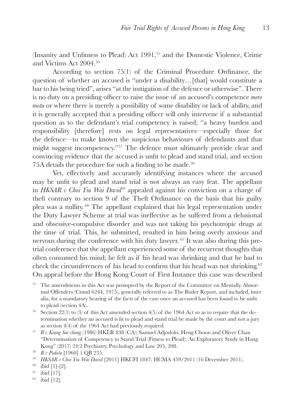(Insanity and Unfitness to Plead) Act 1991,55 and the Domestic Violence, Crime and Victims Act 2004.56

According to section 75(1) of the Criminal Procedure Ordinance, the question of whether an accused is "under a disability…[that] would constitute a bar to his being tried", arises "at the instigation of the defence or otherwise". There is no duty on a presiding officer to raise the issue of an accused's competence *mero motu* or where there is merely a possibility of some disability or lack of ability, and it is generally accepted that a presiding officer will only intervene if a substantial question as to the defendant's trial competency is raised; "a heavy burden and responsibility [therefore] rests on legal representatives—especially those for the defence—to make known the suspicious behaviours of defendants and that might suggest incompetency."57 The defence must ultimately provide clear and convincing evidence that the accused is unfit to plead and stand trial, and section 75A details the procedure for such a finding to be made.<sup>58</sup>

Yet, effectively and accurately identifying instances where the accused may be unfit to plead and stand trial is not always an easy feat. The appellant in *HKSAR v Choi Yiu Wai David*59 appealed against his conviction on a charge of theft contrary to section 9 of the Theft Ordinance on the basis that his guilty plea was a nullity. 60 The appellant explained that his legal representation under the Duty Lawyer Scheme at trial was ineffective as he suffered from a delusional and obsessive-compulsive disorder and was not taking his psychotropic drugs at the time of trial. This, he submitted, resulted in him being overly anxious and nervous during the conference with his duty lawyer. 61 It was also during this pretrial conference that the appellant experienced some of the recurrent thoughts that often consumed his mind; he felt as if his head was shrinking and that he had to check the circumferences of his head to confirm that his head was not shrinking.<sup>62</sup> On appeal before the Hong Kong Court of First Instance this case was described

- <sup>55</sup> The amendments in this Act was prompted by the Report of the Committee on Mentally Abnormal Offenders (Cmnd 6244, 1975), generally referred to as The Butler Report, and included, inter alia, for a mandatory hearing of the facts of the case once an accused has been found to be unfit to plead (section 4A).
- <sup>56</sup> Section 22(1) to (3) of this Act amended section 4(5) of the 1964 Act so as to require that the determination whether an accused is fit to plead and stand trial be made by the court and not a jury as section 4(4) of the 1964 Act had previously required. 57 *R v Keung Sai-chung* (1986) HKLR 838 (CA); Samuel Adjorlolo, Heng Choon and Oliver Chan
- "Determination of Competency to Stand Trial (Fitness to Plead): An Exploratory Study in Hong Kong" (2017) 24:2 Psychiatry, Psychology and Law 205, 208. <br> $R$ <br/> $v$ Podola [1960] 1 QB 235.

 $62$  ibid [12].

<sup>&</sup>lt;sup>59</sup> *HKSAR v Choi Yiu Wai David* [2011] HKCFI 1847; HCMA 459/2011 (16 December 2011).

 $60$  ibid [1]-[2].

 $61$  ibid [17].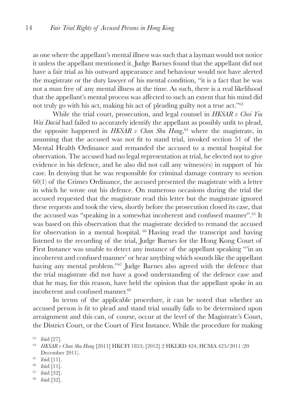as one where the appellant's mental illness was such that a layman would not notice it unless the appellant mentioned it. Judge Barnes found that the appellant did not have a fair trial as his outward appearance and behaviour would not have alerted the magistrate or the duty lawyer of his mental condition, "it is a fact that he was not a man free of any mental illness at the time. As such, there is a real likelihood that the appellant's mental process was affected to such an extent that his mind did not truly go with his act, making his act of pleading guilty not a true act."<sup>63</sup>

While the trial court, prosecution, and legal counsel in *HKSAR v Choi Yiu Wai David* had failed to accurately identify the appellant as possibly unfit to plead, the opposite happened in *HKSAR v Chan Shu Hung*, 64 where the magistrate, in assuming that the accused was not fit to stand trial, invoked section 51 of the Mental Health Ordinance and remanded the accused to a mental hospital for observation. The accused had no legal representation at trial, he elected not to give evidence in his defence, and he also did not call any witness(es) in support of his case. In denying that he was responsible for criminal damage contrary to section 60(1) of the Crimes Ordinance, the accused presented the magistrate with a letter in which he wrote out his defence. On numerous occasions during the trial the accused requested that the magistrate read this letter but the magistrate ignored these requests and took the view, shortly before the prosecution closed its case, that the accused was "speaking in a somewhat incoherent and confused manner".<sup>65</sup> It was based on this observation that the magistrate decided to remand the accused for observation in a mental hospital.  $^{66}$  Having read the transcript and having listened to the recording of the trial, Judge Barnes for the Hong Kong Court of First Instance was unable to detect any instance of the appellant speaking "'in an incoherent and confused manner' or hear anything which sounds like the appellant having any mental problem."<sup>67</sup> Judge Barnes also agreed with the defence that the trial magistrate did not have a good understanding of the defence case and that he may, for this reason, have held the opinion that the appellant spoke in an incoherent and confused manner.<sup>68</sup>

In terms of the applicable procedure, it can be noted that whether an accused person is fit to plead and stand trial usually falls to be determined upon arraignment and this can, of course, occur at the level of the Magistrate's Court, the District Court, or the Court of First Instance. While the procedure for making

- <sup>66</sup> ibid [11].
- <sup>67</sup> ibid [32].
- <sup>68</sup> ibid [32].

<sup>63</sup> ibid [27].

<sup>64</sup> *HKSAR v Chan Shu Hung* [2011] HKCFI 1853; [2012] 2 HKLRD 424; HCMA 425/2011 (20 December 2011).

<sup>65</sup> ibid [11].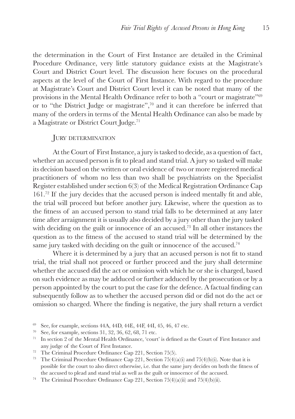the determination in the Court of First Instance are detailed in the Criminal Procedure Ordinance, very little statutory guidance exists at the Magistrate's Court and District Court level. The discussion here focuses on the procedural aspects at the level of the Court of First Instance. With regard to the procedure at Magistrate's Court and District Court level it can be noted that many of the provisions in the Mental Health Ordinance refer to both a "court or magistrate"<sup>69</sup> or to "the District Judge or magistrate",70 and it can therefore be inferred that many of the orders in terms of the Mental Health Ordinance can also be made by a Magistrate or District Court Judge.<sup>71</sup>

## JURY DETERMINATION

At the Court of First Instance, a jury is tasked to decide, as a question of fact, whether an accused person is fit to plead and stand trial. A jury so tasked will make its decision based on the written or oral evidence of two or more registered medical practitioners of whom no less than two shall be psychiatrists on the Specialist Register established under section 6(3) of the Medical Registration Ordinance Cap 161.72 If the jury decides that the accused person is indeed mentally fit and able, the trial will proceed but before another jury. Likewise, where the question as to the fitness of an accused person to stand trial falls to be determined at any later time after arraignment it is usually also decided by a jury other than the jury tasked with deciding on the guilt or innocence of an accused.<sup>73</sup> In all other instances the question as to the fitness of the accused to stand trial will be determined by the same jury tasked with deciding on the guilt or innocence of the accused.<sup>74</sup>

Where it is determined by a jury that an accused person is not fit to stand trial, the trial shall not proceed or further proceed and the jury shall determine whether the accused did the act or omission with which he or she is charged, based on such evidence as may be adduced or further adduced by the prosecution or by a person appointed by the court to put the case for the defence. A factual finding can subsequently follow as to whether the accused person did or did not do the act or omission so charged. Where the finding is negative, the jury shall return a verdict

<sup>69</sup> See, for example, sections 44A, 44D, 44E, 44F, 44I, 45, 46, 47 etc.

<sup>70</sup> See, for example, sections 31, 32, 36, 62, 68, 71 etc.

<sup>71</sup> In section 2 of the Mental Health Ordinance, 'court' is defined as the Court of First Instance and any judge of the Court of First Instance. 72 The Criminal Procedure Ordinance Cap 221, Section 75(5).

<sup>&</sup>lt;sup>73</sup> The Criminal Procedure Ordinance Cap 221, Section  $75(4)(a)(i)$  and  $75(4)(b)(i)$ . Note that it is possible for the court to also direct otherwise, i.e. that the same jury decides on both the fitness of the accused to plead and stand trial as well as the guilt or innocence of the accused.

<sup>&</sup>lt;sup>74</sup> The Criminal Procedure Ordinance Cap 221, Section 75(4)(a)(ii) and 75(4)(b)(ii).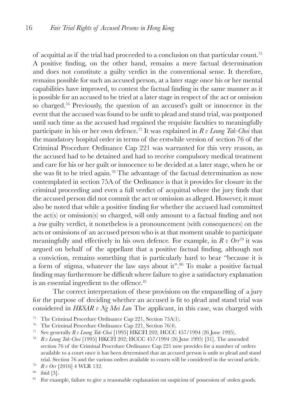of acquittal as if the trial had proceeded to a conclusion on that particular count.75 A positive finding, on the other hand, remains a mere factual determination and does not constitute a guilty verdict in the conventional sense. It therefore, remains possible for such an accused person, at a later stage once his or her mental capabilities have improved, to contest the factual finding in the same manner as it is possible for an accused to be tried at a later stage in respect of the act or omission so charged.<sup>76</sup> Previously, the question of an accused's guilt or innocence in the event that the accused was found to be unfit to plead and stand trial, was postponed until such time as the accused had regained the requisite faculties to meaningfully participate in his or her own defence.77 It was explained in *R v Leung Tak-Choi* that the mandatory hospital order in terms of the erstwhile version of section 76 of the Criminal Procedure Ordinance Cap 221 was warranted for this very reason, as the accused had to be detained and had to receive compulsory medical treatment and care for his or her guilt or innocence to be decided at a later stage, when he or she was fit to be tried again.78 The advantage of the factual determination as now contemplated in section 75A of the Ordinance is that it provides for closure in the criminal proceeding and even a full verdict of acquittal where the jury finds that the accused person did not commit the act or omission as alleged. However, it must also be noted that while a positive finding for whether the accused had committed the act(s) or omission(s) so charged, will only amount to a factual finding and not a *true* guilty verdict, it nonetheless is a pronouncement (with consequences) on the acts or omissions of an accused person who is at that moment unable to participate meaningfully and effectively in his own defence. For example, in *R v Orr*79 it was argued on behalf of the appellant that a positive factual finding, although not a conviction, remains something that is particularly hard to bear "because it is a form of stigma, whatever the law says about it".<sup>80</sup> To make a positive factual finding may furthermore be difficult where failure to give a satisfactory explanation is an essential ingredient to the offence.<sup>81</sup>

The correct interpretation of these provisions on the empanelling of a jury for the purpose of deciding whether an accused is fit to plead and stand trial was considered in *HKSAR v Ng Mei Lan* The applicant, in this case, was charged with

- The Criminal Procedure Ordinance Cap 221, Section 75A(1).
- <sup>76</sup> The Criminal Procedure Ordinance Cap 221, Section 76(4).
- <sup>77</sup> See generally *R v Leung Tak-Choi* [1995] HKCFI 202; HCCC 457/1994 (26 June 1995).

<sup>78</sup> *R v Leung Tak-Choi* [1995] HKCFI 202; HCCC 457/1994 (26 June 1995) [31]. The amended section 76 of the Criminal Procedure Ordinance Cap 221 now provides for a number of orders available to a court once it has been determined that an accused person is unfit to plead and stand trial. Section 76 and the various orders available to courts will be considered in the second article. 79 *R v Orr* [2016] 4 WLR 132.

<sup>80</sup> ibid [3].

<sup>&</sup>lt;sup>81</sup> For example, failure to give a reasonable explanation on suspicion of possession of stolen goods.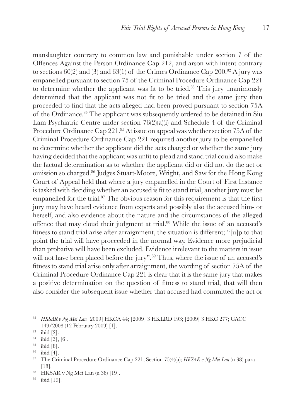manslaughter contrary to common law and punishable under section 7 of the Offences Against the Person Ordinance Cap 212, and arson with intent contrary to sections  $60(2)$  and  $(3)$  and  $63(1)$  of the Crimes Ordinance Cap  $200.^{82}$  A jury was empanelled pursuant to section 75 of the Criminal Procedure Ordinance Cap 221 to determine whether the applicant was fit to be tried.<sup>83</sup> This jury unanimously determined that the applicant was not fit to be tried and the same jury then proceeded to find that the acts alleged had been proved pursuant to section 75A of the Ordinance.84 The applicant was subsequently ordered to be detained in Siu Lam Psychiatric Centre under section  $76(2)(a)(i)$  and Schedule 4 of the Criminal Procedure Ordinance Cap 221.<sup>85</sup> At issue on appeal was whether section 75A of the Criminal Procedure Ordinance Cap 221 required another jury to be empanelled to determine whether the applicant did the acts charged or whether the same jury having decided that the applicant was unfit to plead and stand trial could also make the factual determination as to whether the applicant did or did not do the act or omission so charged.86 Judges Stuart-Moore, Wright, and Saw for the Hong Kong Court of Appeal held that where a jury empanelled in the Court of First Instance is tasked with deciding whether an accused is fit to stand trial, another jury must be empanelled for the trial.87 The obvious reason for this requirement is that the first jury may have heard evidence from experts and possibly also the accused him- or herself, and also evidence about the nature and the circumstances of the alleged offence that may cloud their judgment at trial.88 While the issue of an accused's fitness to stand trial arise after arraignment, the situation is different; "[u]p to that point the trial will have proceeded in the normal way. Evidence more prejudicial than probative will have been excluded. Evidence irrelevant to the matters in issue will not have been placed before the jury".<sup>89</sup> Thus, where the issue of an accused's fitness to stand trial arise only after arraignment, the wording of section 75A of the Criminal Procedure Ordinance Cap 221 is clear that it is the same jury that makes a positive determination on the question of fitness to stand trial, that will then also consider the subsequent issue whether that accused had committed the act or

- $rac{85}{86}$  ibid [8].
- $ibid [4]$ .
- <sup>87</sup> The Criminal Procedure Ordinance Cap 221, Section 75(4)(a); *HKSAR v Ng Mei Lan* (n 38) para [18].
- <sup>88</sup> HKSAR v Ng Mei Lan (n 38) [19].
- <sup>89</sup> ibid [19].

<sup>82</sup> *HKSAR v Ng Mei Lan* [2009] HKCA 44; [2009] 3 HKLRD 193; [2009] 3 HKC 277; CACC 149/2008 (12 February 2009) [1].

 $rac{83}{84}$  ibid [2].

ibid  $[3]$ ,  $[6]$ .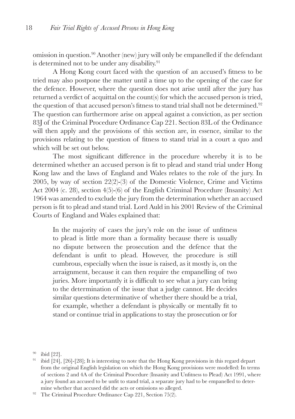omission in question.90 Another (new) jury will only be empanelled if the defendant is determined not to be under any disability.<sup>91</sup>

A Hong Kong court faced with the question of an accused's fitness to be tried may also postpone the matter until a time up to the opening of the case for the defence. However, where the question does not arise until after the jury has returned a verdict of acquittal on the count(s) for which the accused person is tried, the question of that accused person's fitness to stand trial shall not be determined.<sup>92</sup> The question can furthermore arise on appeal against a conviction, as per section 83J of the Criminal Procedure Ordinance Cap 221. Section 83L of the Ordinance will then apply and the provisions of this section are, in essence, similar to the provisions relating to the question of fitness to stand trial in a court a quo and which will be set out below.

The most significant difference in the procedure whereby it is to be determined whether an accused person is fit to plead and stand trial under Hong Kong law and the laws of England and Wales relates to the role of the jury. In 2005, by way of section 22(2)-(3) of the Domestic Violence, Crime and Victims Act 2004 (c. 28), section 4(5)-(6) of the English Criminal Procedure (Insanity) Act 1964 was amended to exclude the jury from the determination whether an accused person is fit to plead and stand trial. Lord Auld in his 2001 Review of the Criminal Courts of England and Wales explained that:

In the majority of cases the jury's role on the issue of unfitness to plead is little more than a formality because there is usually no dispute between the prosecution and the defence that the defendant is unfit to plead. However, the procedure is still cumbrous, especially when the issue is raised, as it mostly is, on the arraignment, because it can then require the empanelling of two juries. More importantly it is difficult to see what a jury can bring to the determination of the issue that a judge cannot. He decides similar questions determinative of whether there should be a trial, for example, whether a defendant is physically or mentally fit to stand or continue trial in applications to stay the prosecution or for

ibid  $[22]$ .

<sup>91</sup> ibid [24], [26]-[28]; It is interesting to note that the Hong Kong provisions in this regard depart from the original English legislation on which the Hong Kong provisions were modelled: In terms of sections 2 and 4A of the Criminal Procedure (Insanity and Unfitness to Plead) Act 1991, where a jury found an accused to be unfit to stand trial, a separate jury had to be empanelled to determine whether that accused did the acts or omissions so alleged.

<sup>&</sup>lt;sup>92</sup> The Criminal Procedure Ordinance Cap 221, Section 75(2).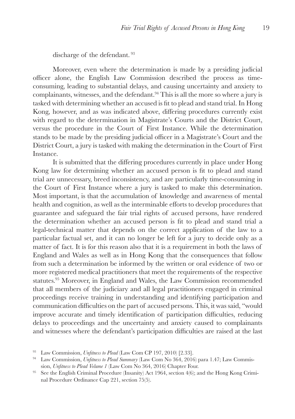discharge of the defendant. <sup>93</sup>

Moreover, even where the determination is made by a presiding judicial officer alone, the English Law Commission described the process as timeconsuming, leading to substantial delays, and causing uncertainty and anxiety to complainants, witnesses, and the defendant.<sup>94</sup> This is all the more so where a jury is tasked with determining whether an accused is fit to plead and stand trial. In Hong Kong, however, and as was indicated above, differing procedures currently exist with regard to the determination in Magistrate's Courts and the District Court, versus the procedure in the Court of First Instance. While the determination stands to be made by the presiding judicial officer in a Magistrate's Court and the District Court, a jury is tasked with making the determination in the Court of First Instance.

It is submitted that the differing procedures currently in place under Hong Kong law for determining whether an accused person is fit to plead and stand trial are unnecessary, breed inconsistency, and are particularly time-consuming in the Court of First Instance where a jury is tasked to make this determination. Most important, is that the accumulation of knowledge and awareness of mental health and cognition, as well as the interminable efforts to develop procedures that guarantee and safeguard the fair trial rights of accused persons, have rendered the determination whether an accused person is fit to plead and stand trial a legal-technical matter that depends on the correct application of the law to a particular factual set, and it can no longer be left for a jury to decide only as a matter of fact. It is for this reason also that it is a requirement in both the laws of England and Wales as well as in Hong Kong that the consequences that follow from such a determination be informed by the written or oral evidence of two or more registered medical practitioners that meet the requirements of the respective statutes.95 Moreover, in England and Wales, the Law Commission recommended that all members of the judiciary and all legal practitioners engaged in criminal proceedings receive training in understanding and identifying participation and communication difficulties on the part of accused persons. This, it was said, "would improve accurate and timely identification of participation difficulties, reducing delays to proceedings and the uncertainty and anxiety caused to complainants and witnesses where the defendant's participation difficulties are raised at the last

<sup>93</sup> Law Commission, *Unfitness to Plead* (Law Com CP 197, 2010) [2.33].

<sup>94</sup> Law Commission, *Unfitness to Plead Summary* (Law Com No 364, 2016) para 1.47; Law Commission, *Unfitness to Plead Volume 1* (Law Com No 364, 2016) Chapter Four.<br><sup>95</sup> See the English Criminal Procedure (Insanity) Act 1964, section 4(6); and the Hong Kong Crimi-

nal Procedure Ordinance Cap 221, section 75(5).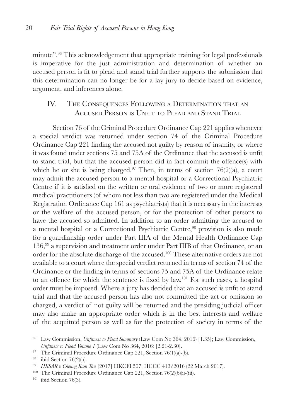minute".96 This acknowledgement that appropriate training for legal professionals is imperative for the just administration and determination of whether an accused person is fit to plead and stand trial further supports the submission that this determination can no longer be for a lay jury to decide based on evidence, argument, and inferences alone.

## IV. THE CONSEQUENCES FOLLOWING A DETERMINATION THAT AN Accused Person is Unfit to Plead and Stand Trial

Section 76 of the Criminal Procedure Ordinance Cap 221 applies whenever a special verdict was returned under section 74 of the Criminal Procedure Ordinance Cap 221 finding the accused not guilty by reason of insanity, or where it was found under sections 75 and 75A of the Ordinance that the accused is unfit to stand trial, but that the accused person did in fact commit the offence(s) with which he or she is being charged.<sup>97</sup> Then, in terms of section  $76(2)(a)$ , a court may admit the accused person to a mental hospital or a Correctional Psychiatric Centre if it is satisfied on the written or oral evidence of two or more registered medical practitioners (of whom not less than two are registered under the Medical Registration Ordinance Cap 161 as psychiatrists) that it is necessary in the interests or the welfare of the accused person, or for the protection of other persons to have the accused so admitted. In addition to an order admitting the accused to a mental hospital or a Correctional Psychiatric Centre,<sup>98</sup> provision is also made for a guardianship order under Part IIIA of the Mental Health Ordinance Cap 136,99 a supervision and treatment order under Part IIIB of that Ordinance, or an order for the absolute discharge of the accused.100 These alternative orders are not available to a court where the special verdict returned in terms of section 74 of the Ordinance or the finding in terms of sections 75 and 75A of the Ordinance relate to an offence for which the sentence is fixed by law.101 For such cases, a hospital order must be imposed. Where a jury has decided that an accused is unfit to stand trial and that the accused person has also not committed the act or omission so charged, a verdict of not guilty will be returned and the presiding judicial officer may also make an appropriate order which is in the best interests and welfare of the acquitted person as well as for the protection of society in terms of the

<sup>96</sup> Law Commission, *Unfitness to Plead Summary* (Law Com No 364, 2016) [1.35]; Law Commission,

*Unfitness to Plead Volume 1* (Law Com No 364, 2016) [2.21-2.30].<br><sup>97</sup> The Criminal Procedure Ordinance Cap 221, Section 76(1)(a)-(b).

<sup>&</sup>lt;sup>98</sup> ibid Section 76(2)(a).<br><sup>99</sup> *HKSAR v Cheung Kam Yau* [2017] HKCFI 507; HCCC 413/2016 (22 March 2017).

<sup>&</sup>lt;sup>100</sup> The Criminal Procedure Ordinance Cap 221, Section 76(2)(b)(i)-(iii). <sup>101</sup> ibid Section 76(3).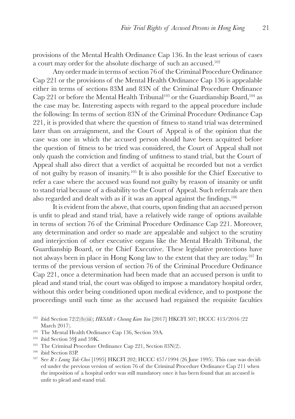provisions of the Mental Health Ordinance Cap 136. In the least serious of cases a court may order for the absolute discharge of such an accused.102

Any order made in terms of section 76 of the Criminal Procedure Ordinance Cap 221 or the provisions of the Mental Health Ordinance Cap 136 is appealable either in terms of sections 83M and 83N of the Criminal Procedure Ordinance Cap 221 or before the Mental Health Tribunal<sup>103</sup> or the Guardianship Board,<sup>104</sup> as the case may be. Interesting aspects with regard to the appeal procedure include the following: In terms of section 83N of the Criminal Procedure Ordinance Cap 221, it is provided that where the question of fitness to stand trial was determined later than on arraignment, and the Court of Appeal is of the opinion that the case was one in which the accused person should have been acquitted before the question of fitness to be tried was considered, the Court of Appeal shall not only quash the conviction and finding of unfitness to stand trial, but the Court of Appeal shall also direct that a verdict of acquittal be recorded but not a verdict of not guilty by reason of insanity.105 It is also possible for the Chief Executive to refer a case where the accused was found not guilty by reason of insanity or unfit to stand trial because of a disability to the Court of Appeal. Such referrals are then also regarded and dealt with as if it was an appeal against the findings.<sup>106</sup>

It is evident from the above, that courts, upon finding that an accused person is unfit to plead and stand trial, have a relatively wide range of options available in terms of section 76 of the Criminal Procedure Ordinance Cap 221. Moreover, any determination and order so made are appealable and subject to the scrutiny and interjection of other executive organs like the Mental Health Tribunal, the Guardianship Board, or the Chief Executive. These legislative protections have not always been in place in Hong Kong law to the extent that they are today.107 In terms of the previous version of section 76 of the Criminal Procedure Ordinance Cap 221, once a determination had been made that an accused person is unfit to plead and stand trial, the court was obliged to impose a mandatory hospital order, without this order being conditioned upon medical evidence, and to postpone the proceedings until such time as the accused had regained the requisite faculties

- <sup>103</sup> The Mental Health Ordinance Cap 136, Section 59A.
- $104$  ibid Section 59I and 59K.
- <sup>105</sup> The Criminal Procedure Ordinance Cap 221, Section 83N(2). 106 ibid Section 83P.
- 
- <sup>107</sup> See *R v Leung Tak-Choi* [1995] HKCFI 202; HCCC 457/1994 (26 June 1995). This case was decided under the previous version of section 76 of the Criminal Procedure Ordinance Cap 211 when the imposition of a hospital order was still mandatory once it has been found that an accused is unfit to plead and stand trial.

<sup>102</sup> ibid Section 72(2)(b)(iii); *HKSAR v Cheung Kam Yau* [2017] HKCFI 507; HCCC 413/2016 (22 March 2017).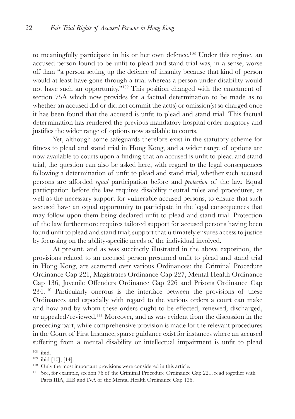to meaningfully participate in his or her own defence.108 Under this regime, an accused person found to be unfit to plead and stand trial was, in a sense, worse off than "a person setting up the defence of insanity because that kind of person would at least have gone through a trial whereas a person under disability would not have such an opportunity."109 This position changed with the enactment of section 75A which now provides for a factual determination to be made as to whether an accused did or did not commit the  $act(s)$  or omission(s) so charged once it has been found that the accused is unfit to plead and stand trial. This factual determination has rendered the previous mandatory hospital order nugatory and justifies the wider range of options now available to courts.

Yet, although some safeguards therefore exist in the statutory scheme for fitness to plead and stand trial in Hong Kong, and a wider range of options are now available to courts upon a finding that an accused is unfit to plead and stand trial, the question can also be asked here, with regard to the legal consequences following a determination of unfit to plead and stand trial, whether such accused persons are afforded *equal* participation before and *protection* of the law. Equal participation before the law requires disability neutral rules and procedures, as well as the necessary support for vulnerable accused persons, to ensure that such accused have an equal opportunity to participate in the legal consequences that may follow upon them being declared unfit to plead and stand trial. Protection of the law furthermore requires tailored support for accused persons having been found unfit to plead and stand trial; support that ultimately ensures access to justice by focussing on the ability-specific needs of the individual involved.

At present, and as was succinctly illustrated in the above exposition, the provisions related to an accused person presumed unfit to plead and stand trial in Hong Kong, are scattered over various Ordinances: the Criminal Procedure Ordinance Cap 221, Magistrates Ordinance Cap 227, Mental Health Ordinance Cap 136, Juvenile Offenders Ordinance Cap 226 and Prisons Ordinance Cap 234.110 Particularly onerous is the interface between the provisions of these Ordinances and especially with regard to the various orders a court can make and how and by whom these orders ought to be effected, renewed, discharged, or appealed/reviewed.111 Moreover, and as was evident from the discussion in the preceding part, while comprehensive provision is made for the relevant procedures in the Court of First Instance, sparse guidance exist for instances where an accused suffering from a mental disability or intellectual impairment is unfit to plead

 $108$  ibid.

 $109$  ibid [10], [14].

<sup>110</sup> Only the most important provisions were considered in this article.

<sup>&</sup>lt;sup>111</sup> See, for example, section 76 of the Criminal Procedure Ordinance Cap 221, read together with Parts IIIA, IIIB and IVA of the Mental Health Ordinance Cap 136.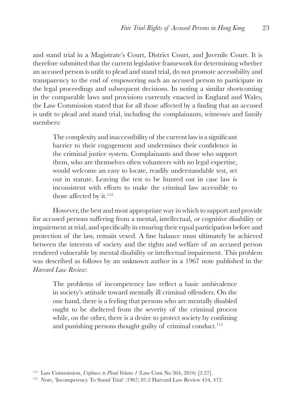and stand trial in a Magistrate's Court, District Court, and Juvenile Court. It is therefore submitted that the current legislative framework for determining whether an accused person is unfit to plead and stand trial, do not promote accessibility and transparency to the end of empowering such an accused person to participate in the legal proceedings and subsequent decisions. In noting a similar shortcoming in the comparable laws and provisions currently enacted in England and Wales, the Law Commission stated that for all those affected by a finding that an accused is unfit to plead and stand trial, including the complainants, witnesses and family members:

The complexity and inaccessibility of the current law is a significant barrier to their engagement and undermines their confidence in the criminal justice system. Complainants and those who support them, who are themselves often volunteers with no legal expertise, would welcome an easy to locate, readily understandable test, set out in statute. Leaving the test to be hunted out in case law is inconsistent with efforts to make the criminal law accessible to those affected by it.<sup>112</sup>

However, the best and most appropriate way in which to support and provide for accused persons suffering from a mental, intellectual, or cognitive disability or impairment at trial, and specifically in ensuring their equal participation before and protection of the law, remain vexed. A fine balance must ultimately be achieved between the interests of society and the rights and welfare of an accused person rendered vulnerable by mental disability or intellectual impairment. This problem was described as follows by an unknown author in a 1967 note published in the *Harvard Law Review*:

The problems of incompetency law reflect a basic ambivalence in society's attitude toward mentally ill criminal offenders. On the one hand, there is a feeling that persons who are mentally disabled ought to be sheltered from the severity of the criminal process while, on the other, there is a desire to protect society by confining and punishing persons thought guilty of criminal conduct. $113$ 

<sup>112</sup> Law Commission, *Unfitness to Plead Volume 1* (Law Com No 364, 2016) [3.27].

<sup>113</sup> Note, 'Incompetency To Stand Trial' (1967) 81:2 Harvard Law Review 454, 472.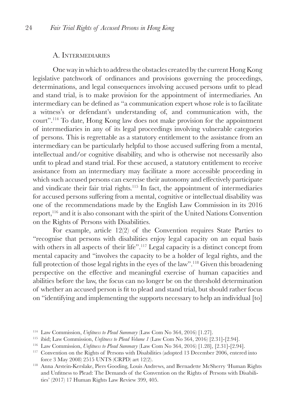### A. Intermediaries

One way in which to address the obstacles created by the current Hong Kong legislative patchwork of ordinances and provisions governing the proceedings, determinations, and legal consequences involving accused persons unfit to plead and stand trial, is to make provision for the appointment of intermediaries. An intermediary can be defined as "a communication expert whose role is to facilitate a witness's or defendant's understanding of, and communication with, the court".114 To date, Hong Kong law does not make provision for the appointment of intermediaries in any of its legal proceedings involving vulnerable categories of persons. This is regrettable as a statutory entitlement to the assistance from an intermediary can be particularly helpful to those accused suffering from a mental, intellectual and/or cognitive disability, and who is otherwise not necessarily also unfit to plead and stand trial. For these accused, a statutory entitlement to receive assistance from an intermediary may facilitate a more accessible proceeding in which such accused persons can exercise their autonomy and effectively participate and vindicate their fair trial rights.115 In fact, the appointment of intermediaries for accused persons suffering from a mental, cognitive or intellectual disability was one of the recommendations made by the English Law Commission in its 2016 report,116 and it is also consonant with the spirit of the United Nations Convention on the Rights of Persons with Disabilities.

For example, article 12(2) of the Convention requires State Parties to "recognise that persons with disabilities enjoy legal capacity on an equal basis with others in all aspects of their life".<sup>117</sup> Legal capacity is a distinct concept from mental capacity and "involves the capacity to be a holder of legal rights, and the full protection of those legal rights in the eyes of the law".<sup>118</sup> Given this broadening perspective on the effective and meaningful exercise of human capacities and abilities before the law, the focus can no longer be on the threshold determination of whether an accused person is fit to plead and stand trial, but should rather focus on "identifying and implementing the supports necessary to help an individual [to]

<sup>114</sup> Law Commission, *Unfitness to Plead Summary* (Law Com No 364, 2016) [1.27]. 115 ibid; Law Commission, *Unfitness to Plead Volume 1* (Law Com No 364, 2016) [2.31]-[2.94].

<sup>&</sup>lt;sup>116</sup> Law Commission, *Unfitness to Plead Summary* (Law Com No 364, 2016) [1.28], [2.31]-[2.94].<br><sup>117</sup> Convention on the Rights of Persons with Disabilities (adopted 13 December 2006, entered into

force 3 May 2008) 2515 UNTS (CRPD) art 12(2).

<sup>118</sup> Anna Arstein-Kerslake, Piers Gooding, Louis Andrews, and Bernadette McSherry 'Human Rights and Unfitness to Plead: The Demands of the Convention on the Rights of Persons with Disabilities' (2017) 17 Human Rights Law Review 399, 405.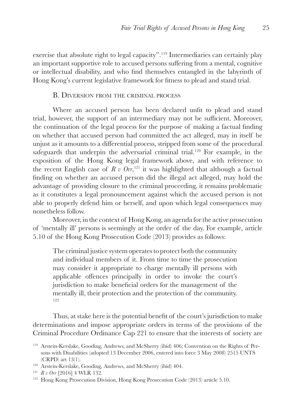exercise that absolute right to legal capacity".119 Intermediaries can certainly play an important supportive role to accused persons suffering from a mental, cognitive or intellectual disability, and who find themselves entangled in the labyrinth of Hong Kong's current legislative framework for fitness to plead and stand trial.

#### B. Diversion from the criminal process

Where an accused person has been declared unfit to plead and stand trial, however, the support of an intermediary may not be sufficient. Moreover, the continuation of the legal process for the purpose of making a factual finding on whether that accused person had committed the act alleged, may in itself be unjust as it amounts to a differential process, stripped from some of the procedural safeguards that underpin the adversarial criminal trial.<sup>120</sup> For example, in the exposition of the Hong Kong legal framework above, and with reference to the recent English case of  $R \, v \, \partial r$ ,<sup>121</sup> it was highlighted that although a factual finding on whether an accused person did the illegal act alleged, may hold the advantage of providing closure to the criminal proceeding, it remains problematic as it constitutes a legal pronouncement against which the accused person is not able to properly defend him or herself, and upon which legal consequences may nonetheless follow.

Moreover, in the context of Hong Kong, an agenda for the active prosecution of 'mentally ill' persons is seemingly at the order of the day. For example, article 5.10 of the Hong Kong Prosecution Code (2013) provides as follows:

The criminal justice system operates to protect both the community and individual members of it. From time to time the prosecution may consider it appropriate to charge mentally ill persons with applicable offences principally in order to invoke the court's jurisdiction to make beneficial orders for the management of the mentally ill, their protection and the protection of the community. 122

Thus, at stake here is the potential benefit of the court's jurisdiction to make determinations and impose appropriate orders in terms of the provisions of the Criminal Procedure Ordinance Cap 221 to ensure that the interests of society are

<sup>119</sup> Arstein-Kerslake, Gooding, Andrews, and McSherry (ibid) 406; Convention on the Rights of Persons with Disabilities (adopted 13 December 2006, entered into force 3 May 2008) 2515 UNTS (CRPD) art 13(1).

<sup>120</sup> Arstein-Kerslake, Gooding, Andrews, and McSherry (ibid) 404.

<sup>121</sup> *R v Orr* [2016] 4 WLR 132.

<sup>122</sup> Hong Kong Prosecution Division, Hong Kong Prosecution Code (2013) article 5.10.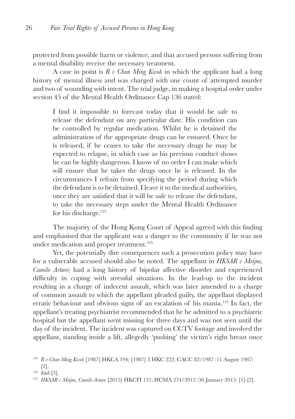protected from possible harm or violence, and that accused persons suffering from a mental disability receive the necessary treatment.

A case in point is *R v Chan Ming Kwok* in which the applicant had a long history of mental illness and was charged with one count of attempted murder and two of wounding with intent. The trial judge, in making a hospital order under section 45 of the Mental Health Ordinance Cap 136 stated:

I find it impossible to forecast today that it would be safe to release the defendant on any particular date. His condition can be controlled by regular medication. Whilst he is detained the administration of the appropriate drugs can be ensured. Once he is released, if he ceases to take the necessary drugs he may be expected to relapse, in which case as his previous conduct shows he can be highly dangerous. I know of no order I can make which will ensure that he takes the drugs once he is released. In the circumstances I refrain from specifying the period during which the defendant is to be detained. I leave it to the medical authorities, once they are satisfied that it will be safe to release the defendant, to take the necessary steps under the Mental Health Ordinance for his discharge. $123$ 

The majority of the Hong Kong Court of Appeal agreed with this finding and emphasised that the applicant was a danger to the community if he was not under medication and proper treatment.<sup>124</sup>

Yet, the potentially dire consequences such a prosecution policy may have for a vulnerable accused should also be noted. The appellant in *HKSAR v Meijne, Camilo Arturo*) had a long history of bipolar affective disorder and experienced difficulty in coping with stressful situations. In the lead-up to the incident resulting in a charge of indecent assault, which was later amended to a charge of common assault to which the appellant pleaded guilty, the appellant displayed erratic behaviour and obvious signs of an escalation of his mania.125 In fact, the appellant's treating psychiatrist recommended that he be admitted to a psychiatric hospital but the appellant went missing for three days and was not seen until the day of the incident. The incident was captured on CCTV footage and involved the appellant, standing inside a lift, allegedly 'pushing' the victim's right breast once

<sup>123</sup> *R v Chan Ming Kwok* [1987] HKCA 194; [1987] 3 HKC 222; CACC 82/1987 (11 August 1987) [2].

 $124$  ibid [3].

<sup>125</sup> *HKSAR v Meijne, Camilo Arturo* [2015] HKCFI 131; HCMA 274/2012 (30 January 2015) [1]-[2].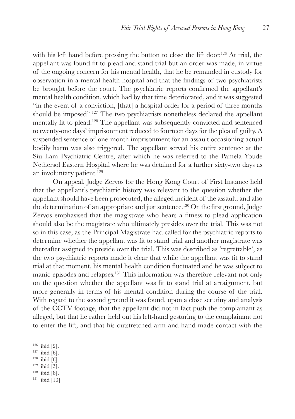with his left hand before pressing the button to close the lift door.<sup>126</sup> At trial, the appellant was found fit to plead and stand trial but an order was made, in virtue of the ongoing concern for his mental health, that he be remanded in custody for observation in a mental health hospital and that the findings of two psychiatrists be brought before the court. The psychiatric reports confirmed the appellant's mental health condition, which had by that time deteriorated, and it was suggested "in the event of a conviction, [that] a hospital order for a period of three months should be imposed".127 The two psychiatrists nonetheless declared the appellant mentally fit to plead.128 The appellant was subsequently convicted and sentenced to twenty-one days' imprisonment reduced to fourteen days for the plea of guilty. A suspended sentence of one-month imprisonment for an assault occasioning actual bodily harm was also triggered. The appellant served his entire sentence at the Siu Lam Psychiatric Centre, after which he was referred to the Pamela Youde Nethersol Eastern Hospital where he was detained for a further sixty-two days as an involuntary patient.<sup>129</sup>

On appeal, Judge Zervos for the Hong Kong Court of First Instance held that the appellant's psychiatric history was relevant to the question whether the appellant should have been prosecuted, the alleged incident of the assault, and also the determination of an appropriate and just sentence.130 On the first ground, Judge Zervos emphasised that the magistrate who hears a fitness to plead application should also be the magistrate who ultimately presides over the trial. This was not so in this case, as the Principal Magistrate had called for the psychiatric reports to determine whether the appellant was fit to stand trial and another magistrate was thereafter assigned to preside over the trial. This was described as 'regrettable', as the two psychiatric reports made it clear that while the appellant was fit to stand trial at that moment, his mental health condition fluctuated and he was subject to manic episodes and relapses.131 This information was therefore relevant not only on the question whether the appellant was fit to stand trial at arraignment, but more generally in terms of his mental condition during the course of the trial. With regard to the second ground it was found, upon a close scrutiny and analysis of the CCTV footage, that the appellant did not in fact push the complainant as alleged, but that he rather held out his left-hand gesturing to the complainant not to enter the lift, and that his outstretched arm and hand made contact with the

 $126$  ibid [2].

 $127$  ibid [6].

 $128$  ibid [6].

 $129$  ibid [3].

<sup>130</sup> ibid [8].

<sup>131</sup> ibid [13].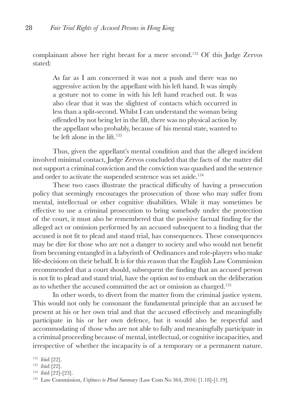complainant above her right breast for a mere second.132 Of this Judge Zervos stated:

As far as I am concerned it was not a push and there was no aggressive action by the appellant with his left hand. It was simply a gesture not to come in with his left hand reached out. It was also clear that it was the slightest of contacts which occurred in less than a split-second. Whilst I can understand the woman being offended by not being let in the lift, there was no physical action by the appellant who probably, because of his mental state, wanted to be left alone in the lift.<sup>133</sup>

Thus, given the appellant's mental condition and that the alleged incident involved minimal contact, Judge Zervos concluded that the facts of the matter did not support a criminal conviction and the conviction was quashed and the sentence and order to activate the suspended sentence was set aside.<sup>134</sup>

These two cases illustrate the practical difficulty of having a prosecution policy that seemingly encourages the prosecution of those who may suffer from mental, intellectual or other cognitive disabilities. While it may sometimes be effective to use a criminal prosecution to bring somebody under the protection of the court, it must also be remembered that the positive factual finding for the alleged act or omission performed by an accused subsequent to a finding that the accused is not fit to plead and stand trial, has consequences. These consequences may be dire for those who are not a danger to society and who would not benefit from becoming entangled in a labyrinth of Ordinances and role-players who make life-decisions on their behalf. It is for this reason that the English Law Commission recommended that a court should, subsequent the finding that an accused person is not fit to plead and stand trial, have the option *not* to embark on the deliberation as to whether the accused committed the act or omission as charged.135

In other words, to divert from the matter from the criminal justice system. This would not only be consonant the fundamental principle that an accused be present at his or her own trial and that the accused effectively and meaningfully participate in his or her own defence, but it would also be respectful and accommodating of those who are not able to fully and meaningfully participate in a criminal proceeding because of mental, intellectual, or cognitive incapacities, and irrespective of whether the incapacity is of a temporary or a permanent nature.

<sup>134</sup> ibid [22]-[23].

<sup>132</sup> ibid [22].

<sup>133</sup> ibid [22].

<sup>135</sup> Law Commission, *Unfitness to Plead Summary* (Law Com No 364, 2016) [1.18]-[1.19].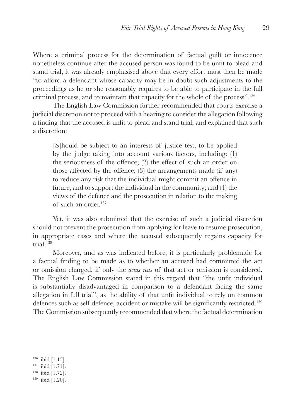Where a criminal process for the determination of factual guilt or innocence nonetheless continue after the accused person was found to be unfit to plead and stand trial, it was already emphasised above that every effort must then be made "to afford a defendant whose capacity may be in doubt such adjustments to the proceedings as he or she reasonably requires to be able to participate in the full criminal process, and to maintain that capacity for the whole of the process".<sup>136</sup>

The English Law Commission further recommended that courts exercise a judicial discretion not to proceed with a hearing to consider the allegation following a finding that the accused is unfit to plead and stand trial, and explained that such a discretion:

[S]hould be subject to an interests of justice test, to be applied by the judge taking into account various factors, including: (1) the seriousness of the offence; (2) the effect of such an order on those affected by the offence; (3) the arrangements made (if any) to reduce any risk that the individual might commit an offence in future, and to support the individual in the community; and (4) the views of the defence and the prosecution in relation to the making of such an order.137

Yet, it was also submitted that the exercise of such a judicial discretion should not prevent the prosecution from applying for leave to resume prosecution, in appropriate cases and where the accused subsequently regains capacity for trial.138

Moreover, and as was indicated before, it is particularly problematic for a factual finding to be made as to whether an accused had committed the act or omission charged, if only the *actus reus* of that act or omission is considered. The English Law Commission stated in this regard that "the unfit individual is substantially disadvantaged in comparison to a defendant facing the same allegation in full trial", as the ability of that unfit individual to rely on common defences such as self-defence, accident or mistake will be significantly restricted.<sup>139</sup> The Commission subsequently recommended that where the factual determination

<sup>136</sup> ibid  $[1.15]$ .<br><sup>137</sup> ibid  $[1.71]$ . <sup>138</sup> ibid [1.72].<br><sup>139</sup> ibid [1.20].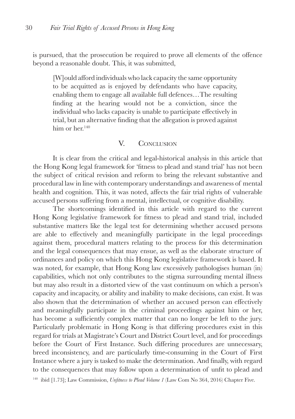is pursued, that the prosecution be required to prove all elements of the offence beyond a reasonable doubt. This, it was submitted,

[W]ould afford individuals who lack capacity the same opportunity to be acquitted as is enjoyed by defendants who have capacity, enabling them to engage all available full defences…The resulting finding at the hearing would not be a conviction, since the individual who lacks capacity is unable to participate effectively in trial, but an alternative finding that the allegation is proved against him or her.<sup>140</sup>

## V. CONCLUSION

It is clear from the critical and legal-historical analysis in this article that the Hong Kong legal framework for 'fitness to plead and stand trial' has not been the subject of critical revision and reform to bring the relevant substantive and procedural law in line with contemporary understandings and awareness of mental health and cognition. This, it was noted, affects the fair trial rights of vulnerable accused persons suffering from a mental, intellectual, or cognitive disability.

The shortcomings identified in this article with regard to the current Hong Kong legislative framework for fitness to plead and stand trial, included substantive matters like the legal test for determining whether accused persons are able to effectively and meaningfully participate in the legal proceedings against them, procedural matters relating to the process for this determination and the legal consequences that may ensue, as well as the elaborate structure of ordinances and policy on which this Hong Kong legislative framework is based. It was noted, for example, that Hong Kong law excessively pathologises human (in) capabilities, which not only contributes to the stigma surrounding mental illness but may also result in a distorted view of the vast continuum on which a person's capacity and incapacity, or ability and inability to make decisions, can exist. It was also shown that the determination of whether an accused person can effectively and meaningfully participate in the criminal proceedings against him or her, has become a sufficiently complex matter that can no longer be left to the jury. Particularly problematic in Hong Kong is that differing procedures exist in this regard for trials at Magistrate's Court and District Court level, and for proceedings before the Court of First Instance. Such differing procedures are unnecessary, breed inconsistency, and are particularly time-consuming in the Court of First Instance where a jury is tasked to make the determination. And finally, with regard to the consequences that may follow upon a determination of unfit to plead and

<sup>140</sup> ibid [1.73]; Law Commission, *Unfitness to Plead Volume 1* (Law Com No 364, 2016) Chapter Five.